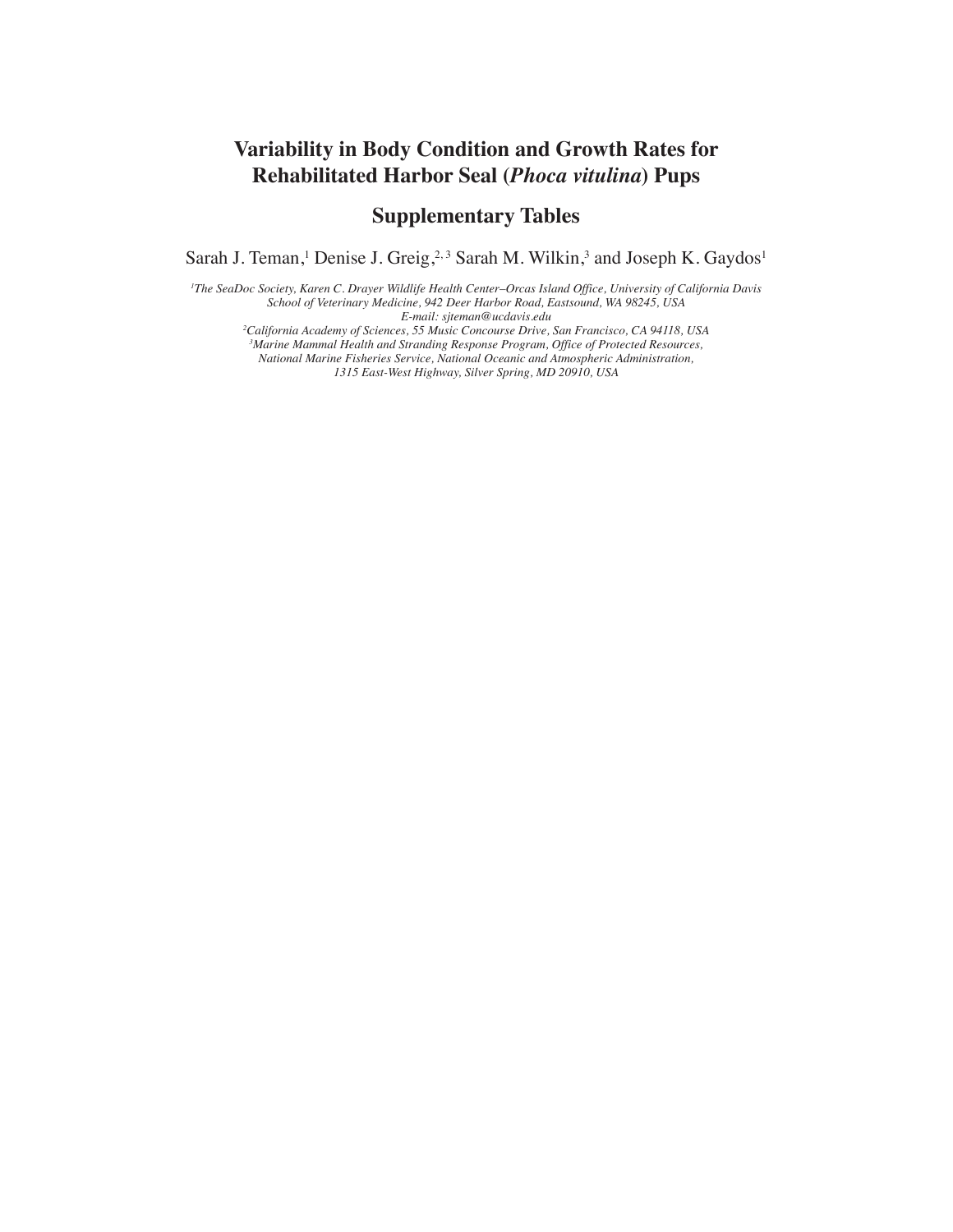## **Variability in Body Condition and Growth Rates for Rehabilitated Harbor Seal (***Phoca vitulina***) Pups**

## **Supplementary Tables**

Sarah J. Teman,<sup>1</sup> Denise J. Greig,<sup>2,3</sup> Sarah M. Wilkin,<sup>3</sup> and Joseph K. Gaydos<sup>1</sup>

*1 The SeaDoc Society, Karen C. Drayer Wildlife Health Center–Orcas Island Office, University of California Davis School of Veterinary Medicine, 942 Deer Harbor Road, Eastsound, WA 98245, USA E-mail: sjteman@ucdavis.edu*

*2 California Academy of Sciences, 55 Music Concourse Drive, San Francisco, CA 94118, USA*

*3 Marine Mammal Health and Stranding Response Program, Office of Protected Resources,* 

*National Marine Fisheries Service, National Oceanic and Atmospheric Administration, 1315 East-West Highway, Silver Spring, MD 20910, USA*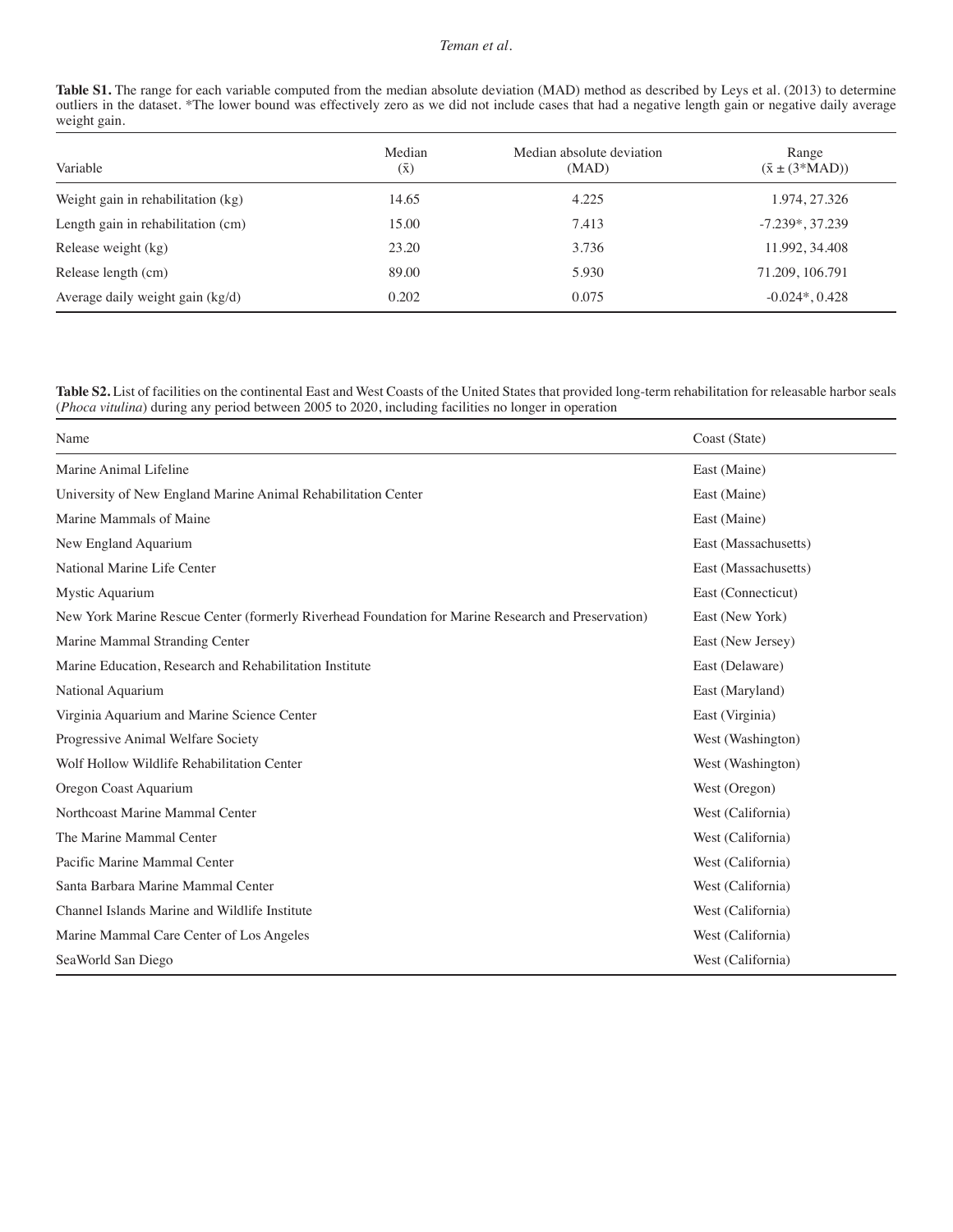## *Teman et al.*

| <b>Table S1.</b> The range for each variable computed from the median absolute deviation (MAD) method as described by Leys et al. (2013) to determine |
|-------------------------------------------------------------------------------------------------------------------------------------------------------|
| outliers in the dataset. *The lower bound was effectively zero as we did not include cases that had a negative length gain or negative daily average  |
| weight gain.                                                                                                                                          |

| Variable                           | Median<br>$(\bar{\mathrm{x}})$ | Median absolute deviation<br>(MAD) | Range<br>$(\bar{x} \pm (3*MAD))$ |
|------------------------------------|--------------------------------|------------------------------------|----------------------------------|
| Weight gain in rehabilitation (kg) | 14.65                          | 4.225                              | 1.974, 27.326                    |
| Length gain in rehabilitation (cm) | 15.00                          | 7.413                              | $-7.239*, 37.239$                |
| Release weight (kg)                | 23.20                          | 3.736                              | 11.992, 34.408                   |
| Release length (cm)                | 89.00                          | 5.930                              | 71.209, 106.791                  |
| Average daily weight gain (kg/d)   | 0.202                          | 0.075                              | $-0.024$ <sup>*</sup> , 0.428    |

**Table S2.** List of facilities on the continental East and West Coasts of the United States that provided long-term rehabilitation for releasable harbor seals (*Phoca vitulina*) during any period between 2005 to 2020, including facilities no longer in operation

| Name                                                                                               | Coast (State)        |
|----------------------------------------------------------------------------------------------------|----------------------|
| Marine Animal Lifeline                                                                             | East (Maine)         |
| University of New England Marine Animal Rehabilitation Center                                      | East (Maine)         |
| Marine Mammals of Maine                                                                            | East (Maine)         |
| New England Aquarium                                                                               | East (Massachusetts) |
| National Marine Life Center                                                                        | East (Massachusetts) |
| Mystic Aquarium                                                                                    | East (Connecticut)   |
| New York Marine Rescue Center (formerly Riverhead Foundation for Marine Research and Preservation) | East (New York)      |
| Marine Mammal Stranding Center                                                                     | East (New Jersey)    |
| Marine Education, Research and Rehabilitation Institute                                            | East (Delaware)      |
| National Aquarium                                                                                  | East (Maryland)      |
| Virginia Aquarium and Marine Science Center                                                        | East (Virginia)      |
| Progressive Animal Welfare Society                                                                 | West (Washington)    |
| Wolf Hollow Wildlife Rehabilitation Center                                                         | West (Washington)    |
| Oregon Coast Aquarium                                                                              | West (Oregon)        |
| Northcoast Marine Mammal Center                                                                    | West (California)    |
| The Marine Mammal Center                                                                           | West (California)    |
| Pacific Marine Mammal Center                                                                       | West (California)    |
| Santa Barbara Marine Mammal Center                                                                 | West (California)    |
| Channel Islands Marine and Wildlife Institute                                                      | West (California)    |
| Marine Mammal Care Center of Los Angeles                                                           | West (California)    |
| SeaWorld San Diego                                                                                 | West (California)    |